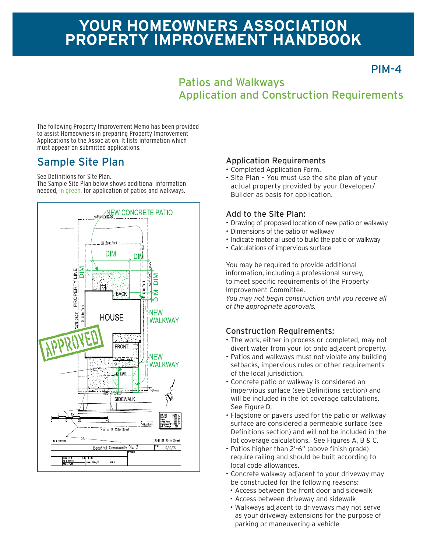# **YOUR HOMEOWNERS ASSOCIATION PROPERTY IMPROVEMENT HANDBOOK**

PIM-4

## Patios and Walkways Application and Construction Requirements

The following Property Improvement Memo has been provided to assist Homeowners in preparing Property Improvement Applications to the Association. It lists information which must appear on submitted applications.

## Sample Site Plan

See Definitions for Site Plan.

The Sample Site Plan below shows additional information needed, in green, for application of patios and walkways.



### Application Requirements

- Completed Application Form.
- Site Plan You must use the site plan of your actual property provided by your Developer/ Builder as basis for application.

### Add to the Site Plan:

- Drawing of proposed location of new patio or walkway
- Dimensions of the patio or walkway
- Indicate material used to build the patio or walkway
- Calculations of impervious surface

You may be required to provide additional information, including a professional survey, to meet specific requirements of the Property Improvement Committee.

*You may not begin construction until you receive all of the appropriate approvals.*

### Construction Requirements:

- The work, either in process or completed, may not divert water from your lot onto adjacent property.
- Patios and walkways must not violate any building setbacks, impervious rules or other requirements of the local jurisdiction.
- Concrete patio or walkway is considered an impervious surface (see Definitions section) and will be included in the lot coverage calculations. See Figure D.
- Flagstone or pavers used for the patio or walkway surface are considered a permeable surface (see Definitions section) and will not be included in the lot coverage calculations. See Figures A, B & C.
- Patios higher than 2'-6" (above finish grade) require railing and should be built according to local code allowances.
- Concrete walkway adjacent to your driveway may be constructed for the following reasons:
- Access between the front door and sidewalk
- Access between driveway and sidewalk
- Walkways adjacent to driveways may not serve as your driveway extensions for the purpose of parking or maneuvering a vehicle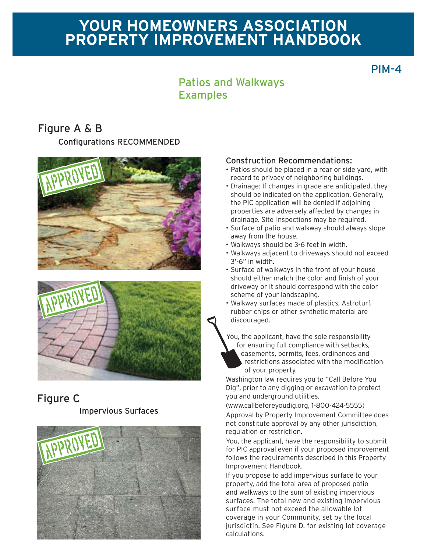# **YOUR HOMEOWNERS ASSOCIATION PROPERTY IMPROVEMENT HANDBOOK**

PIM-4

## Patios and Walkways Examples

## **Configurations RECOMMENDED** Figure A & B





# Figure C

#### Impervious Surfaces



#### Construction Recommendations:

- Patios should be placed in a rear or side yard, with regard to privacy of neighboring buildings.
- Drainage: If changes in grade are anticipated, they should be indicated on the application. Generally, the PIC application will be denied if adjoining properties are adversely affected by changes in drainage. Site inspections may be required.
- Surface of patio and walkway should always slope away from the house.
- Walkways should be 3-6 feet in width.
- Walkways adjacent to driveways should not exceed 3'-6" in width.
- Surface of walkways in the front of your house should either match the color and finish of your driveway or it should correspond with the color scheme of your landscaping.
- Walkway surfaces made of plastics, Astroturf, rubber chips or other synthetic material are discouraged.

You, the applicant, have the sole responsibility for ensuring full compliance with setbacks, easements, permits, fees, ordinances and restrictions associated with the modification of your property.

Washington law requires you to "Call Before You Dig", prior to any digging or excavation to protect you and underground utilities.

(www.callbeforeyoudig.org, 1-800-424-5555)

Approval by Property Improvement Committee does not constitute approval by any other jurisdiction, regulation or restriction.

You, the applicant, have the responsibility to submit for PIC approval even if your proposed improvement follows the requirements described in this Property Improvement Handbook.

If you propose to add impervious surface to your property, add the total area of proposed patio and walkways to the sum of existing impervious surfaces. The total new and existing impervious surface must not exceed the allowable lot coverage in your Community, set by the local jurisdictin. See Figure D. for existing lot coverage calculations.